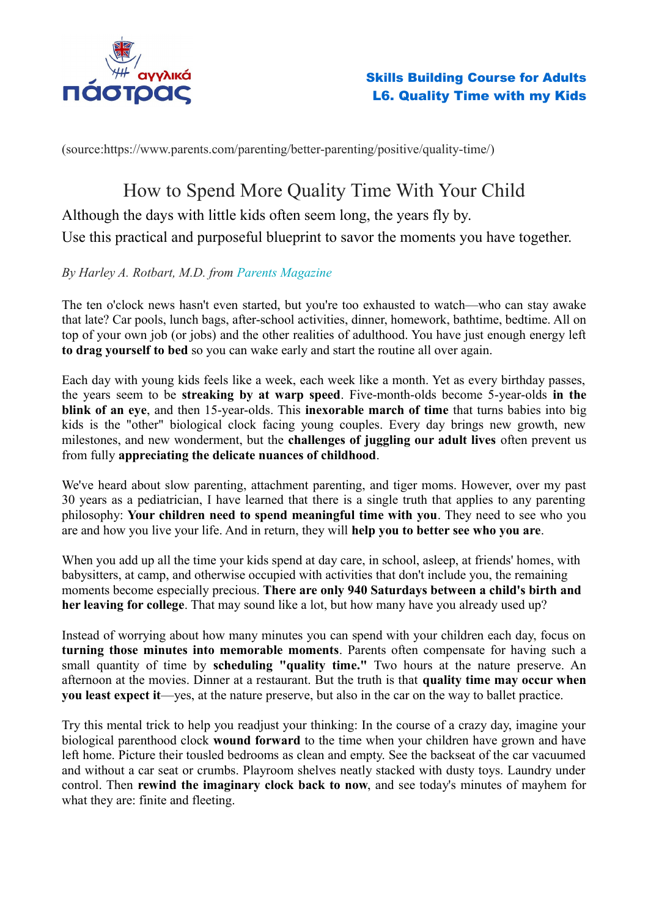

(source:https://www.parents.com/parenting/better-parenting/positive/quality-time/)

# How to Spend More Quality Time With Your Child

Although the days with little kids often seem long, the years fly by.

Use this practical and purposeful blueprint to savor the moments you have together.

# *By Harley A. Rotbart, M.D. from [Parents Magazine](https://www.parents.com/parents-magazine)*

The ten o'clock news hasn't even started, but you're too exhausted to watch—who can stay awake that late? Car pools, lunch bags, after-school activities, dinner, homework, bathtime, bedtime. All on top of your own job (or jobs) and the other realities of adulthood. You have just enough energy left **to drag yourself to bed** so you can wake early and start the routine all over again.

Each day with young kids feels like a week, each week like a month. Yet as every birthday passes, the years seem to be **streaking by at warp speed**. Five-month-olds become 5-year-olds **in the blink of an eye**, and then 15-year-olds. This **inexorable march of time** that turns babies into big kids is the "other" biological clock facing young couples. Every day brings new growth, new milestones, and new wonderment, but the **challenges of juggling our adult lives** often prevent us from fully **appreciating the delicate nuances of childhood**.

We've heard about slow parenting, attachment parenting, and tiger moms. However, over my past 30 years as a pediatrician, I have learned that there is a single truth that applies to any parenting philosophy: **Your children need to spend meaningful time with you**. They need to see who you are and how you live your life. And in return, they will **help you to better see who you are**.

When you add up all the time your kids spend at day care, in school, asleep, at friends' homes, with babysitters, at camp, and otherwise occupied with activities that don't include you, the remaining moments become especially precious. **There are only 940 Saturdays between a child's birth and her leaving for college**. That may sound like a lot, but how many have you already used up?

Instead of worrying about how many minutes you can spend with your children each day, focus on **turning those minutes into memorable moments**. Parents often compensate for having such a small quantity of time by **scheduling "quality time."** Two hours at the nature preserve. An afternoon at the movies. Dinner at a restaurant. But the truth is that **quality time may occur when you least expect it**—yes, at the nature preserve, but also in the car on the way to ballet practice.

Try this mental trick to help you readjust your thinking: In the course of a crazy day, imagine your biological parenthood clock **wound forward** to the time when your children have grown and have left home. Picture their tousled bedrooms as clean and empty. See the backseat of the car vacuumed and without a car seat or crumbs. Playroom shelves neatly stacked with dusty toys. Laundry under control. Then **rewind the imaginary clock back to now**, and see today's minutes of mayhem for what they are: finite and fleeting.